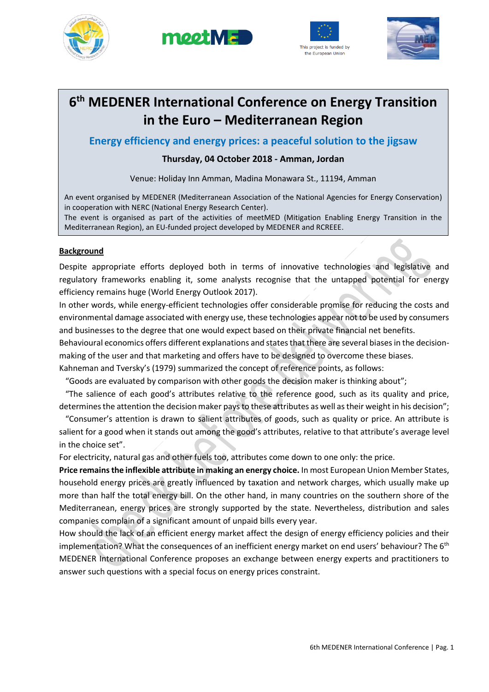







## **6 th MEDENER International Conference on Energy Transition in the Euro – Mediterranean Region**

### **Energy efficiency and energy prices: a peaceful solution to the jigsaw**

#### **Thursday, 04 October 2018 - Amman, Jordan**

Venue: Holiday Inn Amman, Madina Monawara St., 11194, Amman

An event organised by MEDENER (Mediterranean Association of the National Agencies for Energy Conservation) in cooperation with NERC (National Energy Research Center).

The event is organised as part of the activities of meetMED (Mitigation Enabling Energy Transition in the Mediterranean Region), an EU-funded project developed by MEDENER and RCREEE.

#### **Background**

Despite appropriate efforts deployed both in terms of innovative technologies and legislative and regulatory frameworks enabling it, some analysts recognise that the untapped potential for energy efficiency remains huge (World Energy Outlook 2017).

In other words, while energy-efficient technologies offer considerable promise for reducing the costs and environmental damage associated with energy use, these technologies appear not to be used by consumers and businesses to the degree that one would expect based on their private financial net benefits.

Behavioural economics offers different explanations and states that there are several biases in the decisionmaking of the user and that marketing and offers have to be designed to overcome these biases.

Kahneman and Tversky's (1979) summarized the concept of reference points, as follows:

"Goods are evaluated by comparison with other goods the decision maker is thinking about";

 "The salience of each good's attributes relative to the reference good, such as its quality and price, determines the attention the decision maker pays to these attributes as well as their weight in his decision";

 "Consumer's attention is drawn to salient attributes of goods, such as quality or price. An attribute is salient for a good when it stands out among the good's attributes, relative to that attribute's average level in the choice set".

For electricity, natural gas and other fuels too, attributes come down to one only: the price.

**Price remains the inflexible attribute in making an energy choice.** In most European Union Member States, household energy prices are greatly influenced by taxation and network charges, which usually make up more than half the total energy bill. On the other hand, in many countries on the southern shore of the Mediterranean, energy prices are strongly supported by the state. Nevertheless, distribution and sales companies complain of a significant amount of unpaid bills every year.

How should the lack of an efficient energy market affect the design of energy efficiency policies and their implementation? What the consequences of an inefficient energy market on end users' behaviour? The 6<sup>th</sup> MEDENER International Conference proposes an exchange between energy experts and practitioners to answer such questions with a special focus on energy prices constraint.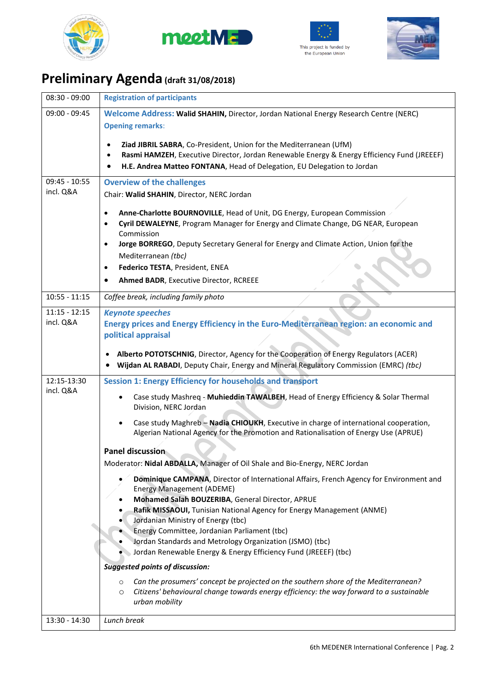







# **Preliminary Agenda (draft 31/08/2018)**

| $08:30 - 09:00$              | <b>Registration of participants</b>                                                                                                                                                                                                                                                                                                                                                                                                                                                                                                                                                                                                                                                                                                                                                                                                                                                                                                                                                                                                                                                                                                                                                                               |
|------------------------------|-------------------------------------------------------------------------------------------------------------------------------------------------------------------------------------------------------------------------------------------------------------------------------------------------------------------------------------------------------------------------------------------------------------------------------------------------------------------------------------------------------------------------------------------------------------------------------------------------------------------------------------------------------------------------------------------------------------------------------------------------------------------------------------------------------------------------------------------------------------------------------------------------------------------------------------------------------------------------------------------------------------------------------------------------------------------------------------------------------------------------------------------------------------------------------------------------------------------|
| 09:00 - 09:45                | Welcome Address: Walid SHAHIN, Director, Jordan National Energy Research Centre (NERC)<br><b>Opening remarks:</b>                                                                                                                                                                                                                                                                                                                                                                                                                                                                                                                                                                                                                                                                                                                                                                                                                                                                                                                                                                                                                                                                                                 |
|                              | Ziad JIBRIL SABRA, Co-President, Union for the Mediterranean (UfM)<br>Rasmi HAMZEH, Executive Director, Jordan Renewable Energy & Energy Efficiency Fund (JREEEF)<br>H.E. Andrea Matteo FONTANA, Head of Delegation, EU Delegation to Jordan<br>$\bullet$                                                                                                                                                                                                                                                                                                                                                                                                                                                                                                                                                                                                                                                                                                                                                                                                                                                                                                                                                         |
| $09:45 - 10:55$<br>incl. Q&A | <b>Overview of the challenges</b><br>Chair: Walid SHAHIN, Director, NERC Jordan<br>Anne-Charlotte BOURNOVILLE, Head of Unit, DG Energy, European Commission<br>٠<br>Cyril DEWALEYNE, Program Manager for Energy and Climate Change, DG NEAR, European<br>٠<br>Commission<br>Jorge BORREGO, Deputy Secretary General for Energy and Climate Action, Union for the<br>$\bullet$<br>Mediterranean (tbc)                                                                                                                                                                                                                                                                                                                                                                                                                                                                                                                                                                                                                                                                                                                                                                                                              |
|                              | Federico TESTA, President, ENEA<br>٠                                                                                                                                                                                                                                                                                                                                                                                                                                                                                                                                                                                                                                                                                                                                                                                                                                                                                                                                                                                                                                                                                                                                                                              |
|                              | Ahmed BADR, Executive Director, RCREEE<br>$\bullet$                                                                                                                                                                                                                                                                                                                                                                                                                                                                                                                                                                                                                                                                                                                                                                                                                                                                                                                                                                                                                                                                                                                                                               |
| $10:55 - 11:15$              | Coffee break, including family photo                                                                                                                                                                                                                                                                                                                                                                                                                                                                                                                                                                                                                                                                                                                                                                                                                                                                                                                                                                                                                                                                                                                                                                              |
| $11:15 - 12:15$<br>incl. Q&A | <b>Keynote speeches</b><br>Energy prices and Energy Efficiency in the Euro-Mediterranean region: an economic and<br>political appraisal<br>Alberto POTOTSCHNIG, Director, Agency for the Cooperation of Energy Regulators (ACER)<br>Wijdan AL RABADI, Deputy Chair, Energy and Mineral Regulatory Commission (EMRC) (tbc)                                                                                                                                                                                                                                                                                                                                                                                                                                                                                                                                                                                                                                                                                                                                                                                                                                                                                         |
| 12:15-13:30<br>incl. Q&A     | <b>Session 1: Energy Efficiency for households and transport</b><br>Case study Mashreq - Muhieddin TAWALBEH, Head of Energy Efficiency & Solar Thermal<br>Division, NERC Jordan<br>Case study Maghreb - Nadia CHIOUKH, Executive in charge of international cooperation,<br>Algerian National Agency for the Promotion and Rationalisation of Energy Use (APRUE)<br>Panel discussion<br>Moderator: Nidal ABDALLA, Manager of Oil Shale and Bio-Energy, NERC Jordan<br>Dominique CAMPANA, Director of International Affairs, French Agency for Environment and<br>Energy Management (ADEME)<br>Mohamed Salah BOUZERIBA, General Director, APRUE<br>Rafik MISSAOUI, Tunisian National Agency for Energy Management (ANME)<br>Jordanian Ministry of Energy (tbc)<br>Energy Committee, Jordanian Parliament (tbc)<br>Jordan Standards and Metrology Organization (JSMO) (tbc)<br>Jordan Renewable Energy & Energy Efficiency Fund (JREEEF) (tbc)<br><b>Suggested points of discussion:</b><br>Can the prosumers' concept be projected on the southern shore of the Mediterranean?<br>$\circ$<br>Citizens' behavioural change towards energy efficiency: the way forward to a sustainable<br>$\circ$<br>urban mobility |
| 13:30 - 14:30                | Lunch break                                                                                                                                                                                                                                                                                                                                                                                                                                                                                                                                                                                                                                                                                                                                                                                                                                                                                                                                                                                                                                                                                                                                                                                                       |